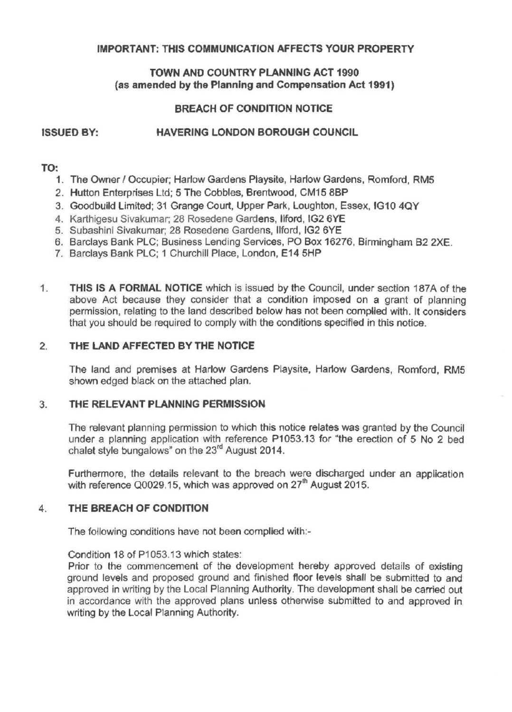### IMPORTANT: THIS COMMUNICATION AFFECTS YOUR PROPERTY

### TOWN AND COUNTRY PLANNING ACT 1990 (as amended by the Planning and Compensation Act 1991)

### **BREACH OF CONDITION NOTICE**

# ISSUED BY: **HAVERING LONDON BOROUGH COUNCIL**

### **TO:**

- 1. The Owner / Occupier: Harlow Gardens Playsite, Harlow Gardens, Romford, RM5
- 2. Hutton Enterprises Ltd; 5 The Cobbles, Brentwood, CM15 88P
- 3. Goodbuild Limited; 31 Grange Court, Upper Park, Loughton, Essex, IG10 4QY
- 4. Karthigesu Sivakumar; 28 Rosedene Gardens, llford, IG2 6YE
- 5. Subashini Sivakumar; 28 Rosedene Gardens, llford, IG2 6YE
- 6. Barclays Bank PLC; Business Lending Services, PO Box 16276, Birmingham 82 2XE.
- 7. Barclays Bank PLC; 1 Churchill Place, London, E14 5HP
- 1. **THIS IS A FORMAL NOTICE** which is issued by the Council, under section 187A of the above Act because they consider that a condition imposed on a grant of planning permission, relating to the land described below has not been complied with. It considers that you should be required to comply with the conditions specified in this notice.

#### 2. **THE LAND AFFECTED BY THE NOTICE**

The land and premises at Harlow Gardens Playsite, Harlow Gardens, Romford, RM5 shown edged black on the attached plan.

#### 3. **THE RELEVANT PLANNING PERMISSION**

The relevant planning permission to which this notice relates was granted by the Council under a planning application with reference P1053.13 for "the erection of 5 No 2 bed chalet style bungalows" on the 23<sup>rd</sup> August 2014.

Furthermore, the details relevant to the breach were discharged under an application with reference Q0029.15, which was approved on 27<sup>th</sup> August 2015.

#### 4. **THE BREACH OF CONDITION**

The following conditions have not been complied with:

Condition 18 of P1053.13 which states:

Prior to the commencement of the development hereby approved details of existing ground levels and proposed ground and finished floor levels shall be submitted to and approved in writing by the Local Planning Authority. The development shall be carried out in accordance with the approved plans unless otherwise submitted to and approved in writing by the Local Planning Authority.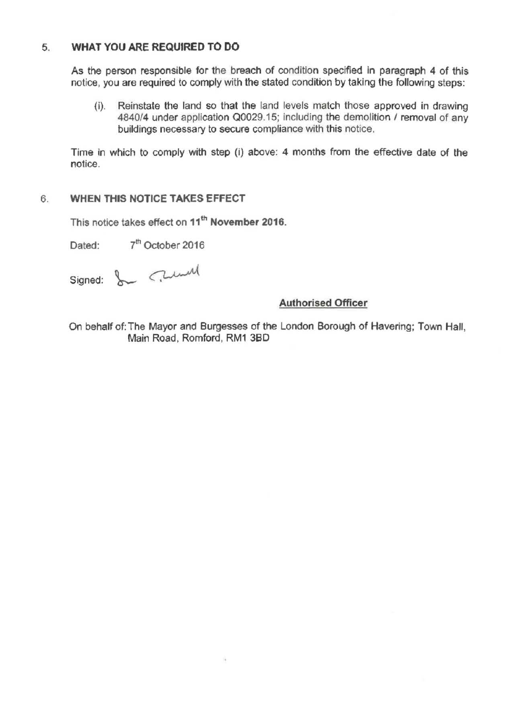# 5. **WHAT YOU ARE REQUIRED TO DO**

As the person responsible for the breach of condition specified in paragraph 4 of this notice, you are required to comply with the stated condition by taking the following steps:

(i). Reinstate the land so that the land levels match those approved in drawing 4840/4 under application Q0029.15; including the demolition / removal of any buildings necessary to secure compliance with this notice.

Time in which to comply with step (i) above: 4 months from the effective date of the notice.

### 6. **WHEN THIS NOTICE TAKES EFFECT**

This notice takes effect on **11th November 2016.** 

Dated: 7<sup>th</sup> October 2016

Signed: & Cumul

# **Authorised Officer**

On behalf of: The Mayor and Burgesses of the London Borough of Havering; Town Hall, Main Road, Romford, RM1 38D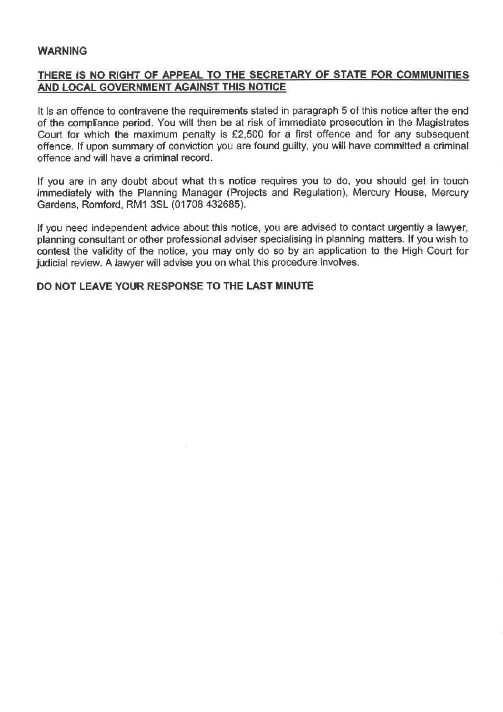#### **WARNING**

## **THERE IS NO RIGHT OF APPEAL TO THE SECRETARY OF STATE FOR COMMUNITIES AND LOCAL GOVERNMENT AGAINST THIS NOTICE**

It is an offence to contravene the requirements stated in paragraph 5 of this notice after the end of the compliance period. You will then be at risk of immediate prosecution in the Magistrates Court for which the maximum penalty is £2,500 for a first offence and for any subsequent offence. If upon summary of conviction you are found guilty, you will have committed a criminal offence and will have a criminal record.

If you are in any doubt about what this notice requires you to do, you should get in touch immediately with the Planning Manager (Projects and Regulation), Mercury House, Mercury Gardens, Romford, RM1 3SL (01708 432685).

If you need independent advice about this notice, you are advised to contact urgently a lawyer, planning consultant or other professional adviser specialising in planning matters. If you wish to contest the validity of the notice, you may only do so by an application to the High Court for judicial review. A lawyer will advise you on what this procedure involves.

#### **DO NOT LEAVE YOUR RESPONSE TO THE LAST MINUTE**